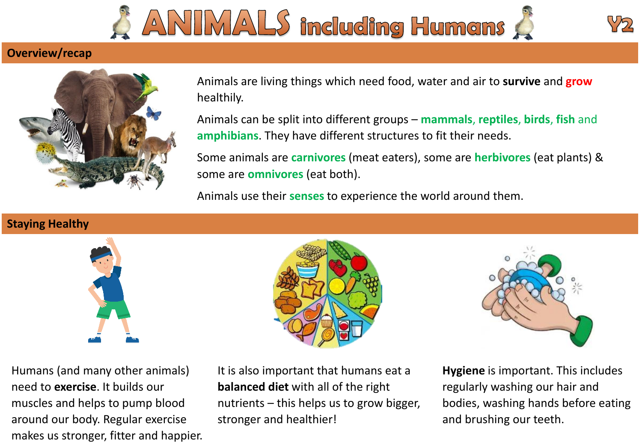



## **Overview/recap**



Animals are living things which need food, water and air to **survive** and **grow** healthily.

Animals can be split into different groups – **mammals**, **reptiles**, **birds**, **fish** and **amphibians**. They have different structures to fit their needs.

Some animals are **carnivores** (meat eaters), some are **herbivores** (eat plants) & some are **omnivores** (eat both).

Animals use their **senses** to experience the world around them.

## **Staying Healthy**







Humans (and many other animals) need to **exercise**. It builds our muscles and helps to pump blood around our body. Regular exercise makes us stronger, fitter and happier.

It is also important that humans eat a **balanced diet** with all of the right nutrients – this helps us to grow bigger, stronger and healthier!

**Hygiene** is important. This includes regularly washing our hair and bodies, washing hands before eating and brushing our teeth.